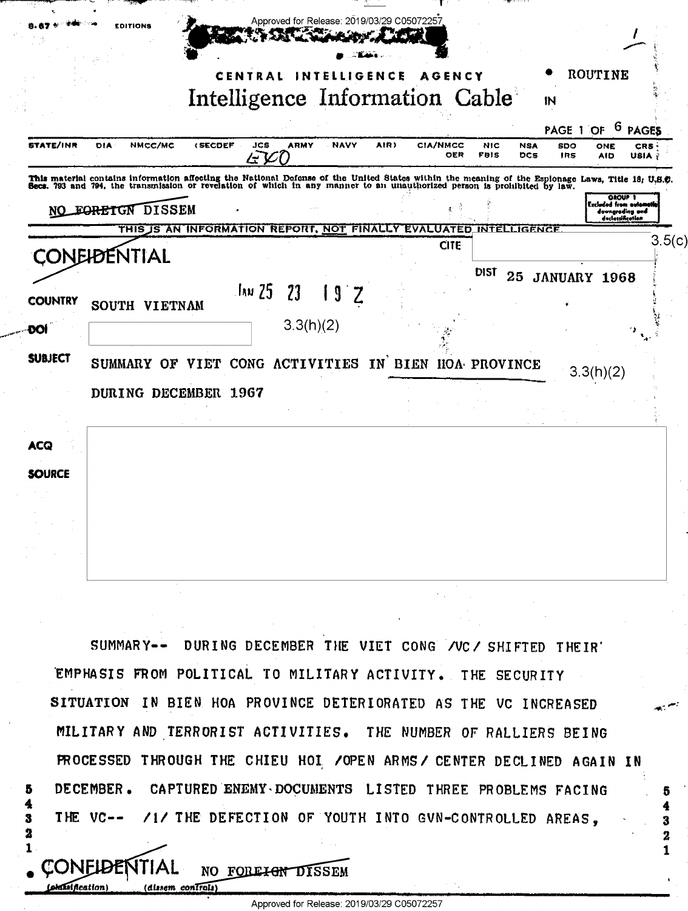|                | <b>EDITIONS</b>                                                                                                                                                                                                                  |                |            |             | Approved for Release: 2019/03/29 C05072257 |        |                  |             |                     |                  |                     |                                                       |
|----------------|----------------------------------------------------------------------------------------------------------------------------------------------------------------------------------------------------------------------------------|----------------|------------|-------------|--------------------------------------------|--------|------------------|-------------|---------------------|------------------|---------------------|-------------------------------------------------------|
|                |                                                                                                                                                                                                                                  |                | CENTRAL    | N           | Intelligence Information Cable             | IGENCE | AGENCY           |             |                     | IN               | ROUTINE             |                                                       |
| STATE/INR      | NMCC/MC<br>DIA                                                                                                                                                                                                                   | <b>(SECDEF</b> | <b>JCS</b> | <b>ARMY</b> | <b>NAVY</b>                                | AIR)   | <b>CIA/NMCC</b>  | <b>NIC</b>  | <b>NSA</b>          | PAGE 1 OF<br>SDO | ONE                 | <sup>6</sup> PAGES<br>CRS                             |
|                | This material contains information affecting the National Defense of the United States within the meaning of the Esplonage Laws, Title 18, U.S.C.<br>Secs. 793 and 794, the transmission or revelation of which in any manner to |                | ムコ         |             |                                            |        | OER              | <b>FBIS</b> | DCS                 | <b>IRS</b>       | <b>AID</b>          | USIA ÿ                                                |
| NO             | FORETGN DISSEM<br>THIS IS AN INFORMATION REPORT, NOT FINALLY                                                                                                                                                                     |                |            |             |                                            |        | <b>EVALUATED</b> |             | <b>INTELLIGENCE</b> |                  | Excluded from autom | <b>OROUP 1</b><br>downgrading and<br>doclassification |
|                | <b>CONEIDENTIAL</b>                                                                                                                                                                                                              |                |            |             |                                            |        | <b>CITE</b>      |             |                     |                  |                     | 3.5(c                                                 |
| <b>COUNTRY</b> | SOUTH VIETNAM                                                                                                                                                                                                                    |                | .ไกม 25    | 23          | g                                          |        |                  | DIST        | 25                  |                  | <b>JANUARY 1968</b> |                                                       |
| ĐOI            |                                                                                                                                                                                                                                  |                |            | 3.3(h)(2)   |                                            |        |                  |             |                     |                  |                     |                                                       |
| <b>SUBJECT</b> | SUMMARY OF VIET CONG ACTIVITIES IN BIEN HOA PROVINCE                                                                                                                                                                             |                |            |             |                                            |        |                  |             |                     |                  | 3.3(h)(2)           |                                                       |
|                | DURING DECEMBER 1967                                                                                                                                                                                                             |                |            |             |                                            |        |                  |             |                     |                  |                     |                                                       |
| <b>ACQ</b>     |                                                                                                                                                                                                                                  |                |            |             |                                            |        |                  |             |                     |                  |                     |                                                       |
| <b>SOURCE</b>  |                                                                                                                                                                                                                                  |                |            |             |                                            |        |                  |             |                     |                  |                     |                                                       |
|                |                                                                                                                                                                                                                                  |                |            |             |                                            |        |                  |             |                     |                  |                     |                                                       |
|                |                                                                                                                                                                                                                                  |                |            |             |                                            |        |                  |             |                     |                  |                     |                                                       |

SUMMARY-- DURING DECEMBER THE VIET CONG /VC/ SHIFTED THEIR' EMPHASIS FROM POLITICAL TO MILITARY ACTIVITY. THE SECURITY SITUATION IN BIEN HOA PROVINCE DETERIORATED AS THE VC INCREASED MILITARY AND TERRORIST ACTIVITIES. THE NUMBER OF RALLIERS BEING PROCESSED THROUGH THE CHIEU HOI / OPEN ARMS / CENTER DECLINED AGAIN IN DECEMBER. CAPTURED ENEMY DOCUMENTS LISTED THREE PROBLEMS FACING /1/ THE DEFECTION OF YOUTH INTO GVN-CONTROLLED AREAS, THE  $VC--$ 

3

2

5

3.

2 1

NO FOREIGN DISSEM

 $conTroli$ )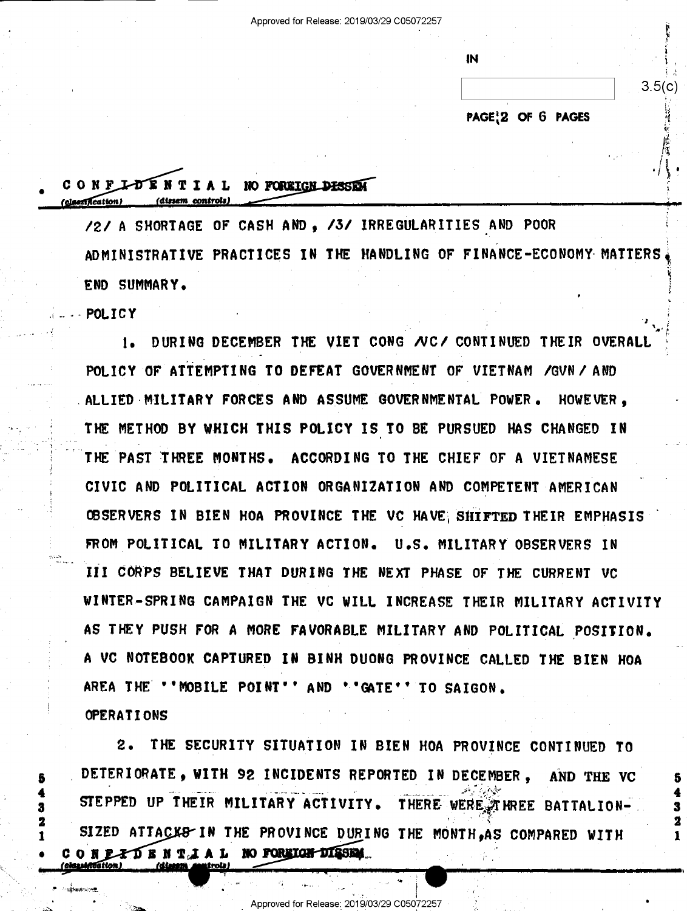|                   | 3.5(c) |
|-------------------|--------|
| PAGE 2 OF 6 PAGES |        |

""'  $^{\circ}$ 

-

.,

'

4

~

# CONFLUENTIAL NO FOREIGN DESSEN clessification) (dissem control.

/2/ A SHORTAGE OF CASH AND, /3/ IRREGULARITIES AND POOR ADMINISTRATIVE PRACTICES IN THE HANDLING OF FINANCE-ECONOMY-MATTERSi <sup>A</sup>\*; 5 END SUMMARY»

**POLICY**  $1-\cdot$  . PULLUI  $\cdot$  . The contract of the contract of the contract of the contract of the contract of the contract of the contract of the contract of the contract of the contract of the contract of the contract of the con

 $\blacksquare$ 

1. DURING DECEMBER THE VIET CONG NC/ CONTINUED THEIR OVERAL i POLICY OF ATTEMPTING TO DEFEAT GOVERNMENT OF VIETNAM /GUN/'AND ALLIED MILITARY FORCES AND ASSUME GOVERNMENTAL POWER. HOWEVER. THE METHOD BY WHICH THIS POLICY IS TO BE PURSUED HAS CHANGED IN THE PAST THREE MONTHS. ACCORDING TO THE CHIEF OF A VIETNAMESE ' CIVIC AND POLITICAL ACTION ORGANIZATION AND COMPETENT AMERICAN OBSERVERS IN BIEN HOA PROVINCE THE VC HAVE SHIFTED THEIR EMPHASIS FROM POLITICAL TO MILITARY ACTION. U.S. MILITARY OBSERVERS IN III CORPS BELIEVE THAT DURING THE NEXT PHASE OF THE CURRENT VC WINTER-SPRING CAMPAIGN THE VC WILL INCREASE THEIR MILITARY ACTIVITY AS THEY PUSH FOR A MORE FAVORABLE MILITARY AND POLITICAL POSITION. <sup>A</sup>VC NOTEBOOK CAPTURED IN BINH DUONG PROVINCE CALLED THE BIEN HOA AREA THE "'MOBILE POINT'' AND ''GATE'' TO SAIGON.

OPERATIONS

- \ ~~

\ , » , 0' P ». The second problem of the second problem in the second problem in the second problem in the second problem in the second problem in the second problem in the second problem in the second problem in the second probl

 $\cdots$ 

' '

2. THE SECURITY SITUATION IN BIEN HOA PROVINCE CONTINUED TO DETERIORATE. WITH 92 INCIDENTS REPORTED IN DECEMBER. AND THE VC ' STEPPED UP THEIR MILITARY ACTIVITY. ..-.~ -- ->"=,-'-".\_"~.'1" THERE WERE ATHREE BATTALION-SIZED ATTACKS IN THE PROVINCE DURING THE MONTH, AS COMPARED WITH COR EXIGRAL NO FOREIGH DISSEM.

 $V_\mathrm{c}$  is a set of the set of the set of the set of the set of the set of the set of the set of the set of the set of the set of the set of the set of the set of the set of the set of the set of the set of the set of th

A .,\_\_. <sup>I</sup>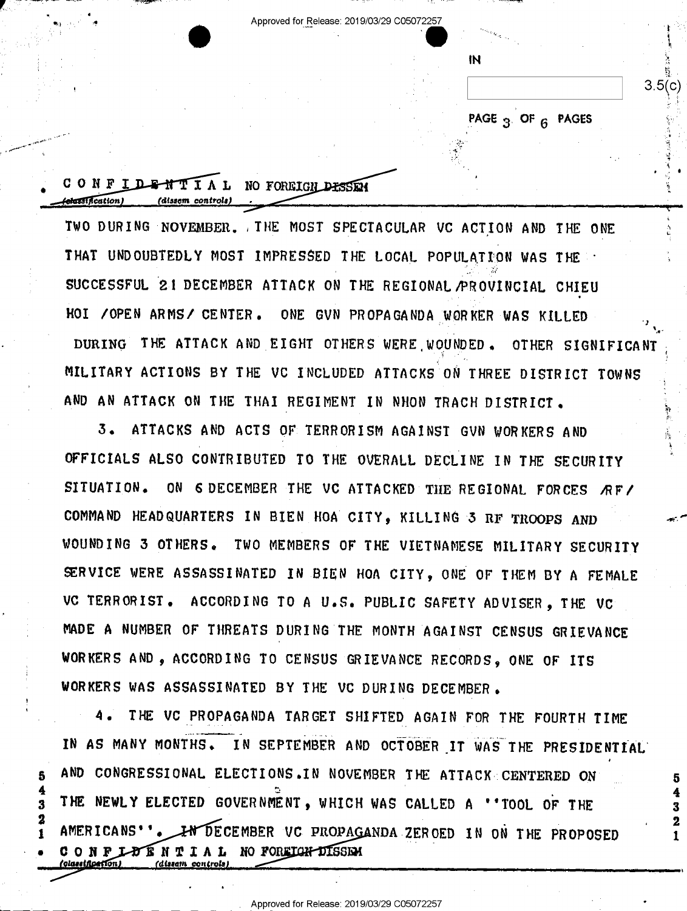Approved for Release: 2019/03/29 C05072257

IN

PAGE 3 OF 6 PAGES

 $3.5(c)$ 

2

#### CONFIDENTIAL NO FOREIGN DESSEN asidcation) (dissem controls)

TWO DURING NOVEMBER. THE MOST SPECTACULAR VC ACTION AND THE ONE THAT UNDOUBTEDLY MOST IMPRESSED THE LOCAL POPULATION WAS THE SUCCESSFUL 21 DECEMBER ATTACK ON THE REGIONAL AROVINCIAL CHIEU HOI / OPEN ARMS / CENTER. ONE GVN PROPAGANDA WORKER WAS KILLED DURING THE ATTACK AND EIGHT OTHERS WERE WOUNDED. OTHER SIGNIFICANT MILITARY ACTIONS BY THE VC INCLUDED ATTACKS ON THREE DISTRICT TOWNS AND AN ATTACK ON THE THAI REGIMENT IN NHON TRACH DISTRICT.

 $\overline{3}$ . ATTACKS AND ACTS OF TERRORISM AGAINST GVN WORKERS AND OFFICIALS ALSO CONTRIBUTED TO THE OVERALL DECLINE IN THE SECURITY SITUATION. ON 6 DECEMBER THE VC ATTACKED THE REGIONAL FORCES RF/ COMMAND HEADQUARTERS IN BIEN HOA CITY, KILLING 3 RF TROOPS AND WOUNDING 3 OTHERS. TWO MEMBERS OF THE VIETNAMESE MILITARY SECURITY SERVICE WERE ASSASSINATED IN BIEN HOA CITY, ONE OF THEM BY A FEMALE VC TERRORIST. ACCORDING TO A U.S. PUBLIC SAFETY ADVISER, THE VC MADE A NUMBER OF THREATS DURING THE MONTH AGAINST CENSUS GRIEVANCE WORKERS AND. ACCORDING TO CENSUS GRIEVANCE RECORDS, ONE OF ITS WORKERS WAS ASSASSINATED BY THE VC DURING DECEMBER.

THE VC PROPAGANDA TARGET SHIFTED AGAIN FOR THE FOURTH TIME IN AS MANY MONTHS. IN SEPTEMBER AND OCTOBER IT WAS THE PRESIDENTIAL AND CONGRESSIONAL ELECTIONS. IN NOVEMBER THE ATTACK CENTERED ON THE NEWLY ELECTED GOVERNMENT, WHICH WAS CALLED A "'TOOL OF THE AMERICANS'' DECEMBER VC PROPAGANDA ZEROED IN ON THE PROPOSED IN LOTENTIAL NO FOREIGH DISSEN CONF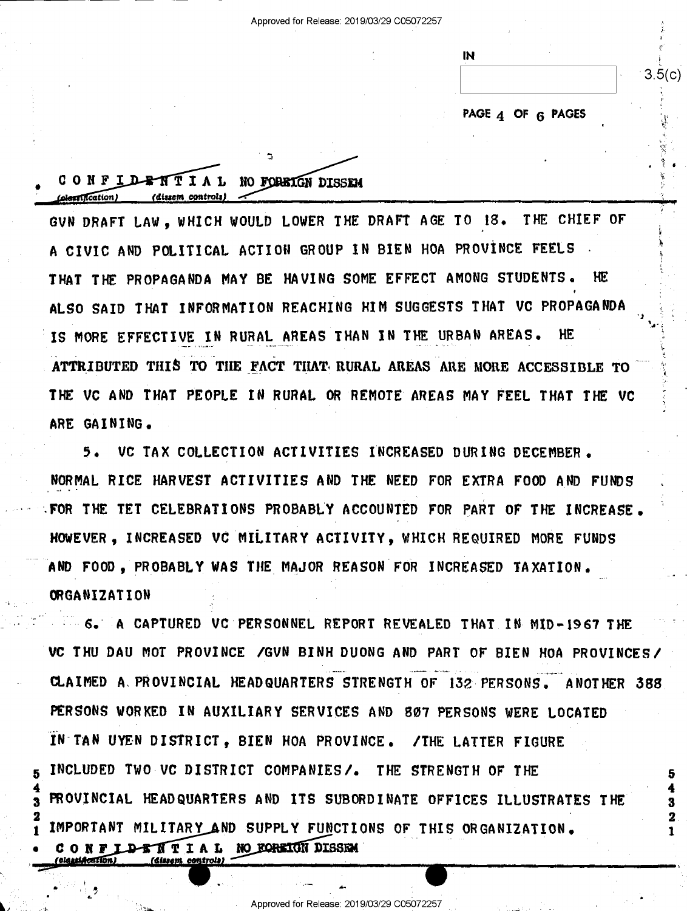IN.

PAGE 4 OF 6 PAGES

 $3.5(c)$ 

3

### CONFIDENTIAL NO FOREIGN DISSEN Colessification) (dissem\_controls)

'dissem controls)

GVN DRAFT LAW, WHICH WOULD LOWER THE DRAFT AGE TO 18. THE CHIEF OF A CIVIC AND POLITICAL ACTION GROUP IN BIEN HOA PROVINCE FEELS THAT THE PROPAGANDA MAY BE HAVING SOME EFFECT AMONG STUDENTS. HF. ALSO SAID THAT INFORMATION REACHING HIM SUGGESTS THAT VC PROPAGANDA IS MORE EFFECTIVE IN RURAL AREAS THAN IN THE URBAN AREAS. HE ATTRIBUTED THIS TO THE FACT THAT RURAL AREAS ARE MORE ACCESSIBLE TO THE VC AND THAT PEOPLE IN RURAL OR REMOTE AREAS MAY FEEL THAT THE VC ARE GAINING.

VC TAX COLLECTION ACTIVITIES INCREASED DURING DECEMBER.  $5.$ NORMAL RICE HARVEST ACTIVITIES AND THE NEED FOR EXTRA FOOD AND FUNDS FOR THE TET CELEBRATIONS PROBABLY ACCOUNTED FOR PART OF THE INCREASE. HOWEVER, INCREASED VC MILITARY ACTIVITY, WHICH REQUIRED MORE FUNDS AND FOOD. PROBABLY WAS THE MAJOR REASON FOR INCREASED TAXATION. ORGANIZATION

**6. 6. A CAPTURED VC PERSONNEL REPORT REVEALED THAT IN MID-1967 THE** VC THU DAU MOT PROVINCE / GVN BINH DUONG AND PART OF BIEN HOA PROVINCES/ CLAIMED A PROVINCIAL HEADQUARTERS STRENGTH OF 132 PERSONS. ANOTHER 388 PERSONS WORKED IN AUXILIARY SERVICES AND 807 PERSONS WERE LOCATED IN TAN UYEN DISTRICT. BIEN HOA PROVINCE. **/THE LATTER FIGURE** INCLUDED TWO VC DISTRICT COMPANIES/. THE STRENGTH OF THE PROVINCIAL HEADQUARTERS AND ITS SUBORDINATE OFFICES ILLUSTRATES THE IMPORTANT MILITARY AND SUPPLY FUNCTIONS OF THIS ORGANIZATION. IDENTIAL NO FOREIGN DISSEM CONF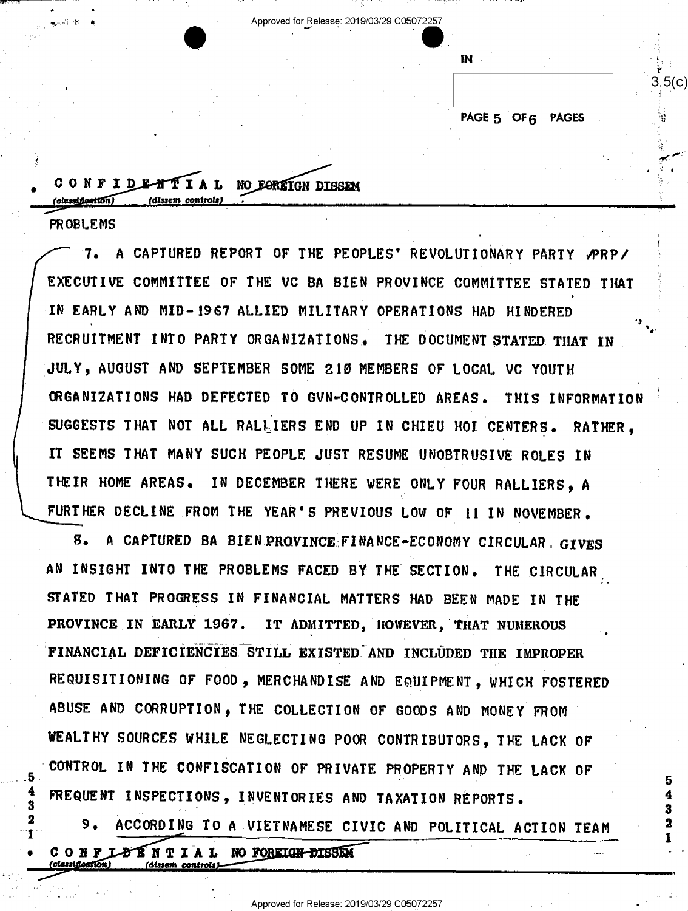Approved for Release: 2019/03/29 C05072257

**IN** 

## PAGE 5 OF 6 PAGES

 $3.5(c)$ 

CONFIDENTIAL NO FOREIGN DISSEN 'classification) (dissem controls)

**PROBLEMS** 

3 2

T

Lucia de la

A CAPTURED REPORT OF THE PEOPLES' REVOLUTIONARY PARTY PRP/ 7. EXECUTIVE COMMITTEE OF THE VC BA BIEN PROVINCE COMMITTEE STATED THAT IN EARLY AND MID-1967 ALLIED MILITARY OPERATIONS HAD HINDERED RECRUITMENT INTO PARTY ORGANIZATIONS. THE DOCUMENT STATED THAT IN JULY, AUGUST AND SEPTEMBER SOME 210 MEMBERS OF LOCAL VC YOUTH CRGANIZATIONS HAD DEFECTED TO GVN-CONTROLLED AREAS. THIS INFORMATION SUGGESTS THAT NOT ALL RALLIERS END UP IN CHIEU HOI CENTERS. RATHER. IT SEEMS THAT MANY SUCH PEOPLE JUST RESUME UNOBTRUSIVE ROLES IN THEIR HOME AREAS. IN DECEMBER THERE WERE ONLY FOUR RALLIERS. A FURTHER DECLINE FROM THE YEAR'S PREVIOUS LOW OF II IN NOVEMBER.

A CAPTURED BA BIEN PROVINCE FINANCE-ECONOMY CIRCULAR GIVES 8. AN INSIGHT INTO THE PROBLEMS FACED BY THE SECTION. THE CIRCULAR STATED THAT PROGRESS IN FINANCIAL MATTERS HAD BEEN MADE IN THE PROVINCE IN EARLY 1967. IT ADMITTED, HOWEVER, THAT NUMEROUS FINANCIAL DEFICIENCIES STILL EXISTED AND INCLUDED THE IMPROPER REQUISITIONING OF FOOD, MERCHANDISE AND EQUIPMENT, WHICH FOSTERED ABUSE AND CORRUPTION, THE COLLECTION OF GOODS AND MONEY FROM WEALTHY SOURCES WHILE NEGLECTING POOR CONTRIBUTORS. THE LACK OF CONTROL IN THE CONFISCATION OF PRIVATE PROPERTY AND THE LACK OF FREQUENT INSPECTIONS, INVENTORIES AND TAXATION REPORTS.

9. ACCORDING TO A VIETNAMESE CIVIC AND POLITICAL ACTION TEAM CONFLORINTIAL NO FOREIGN-DISSEN (dissem controls